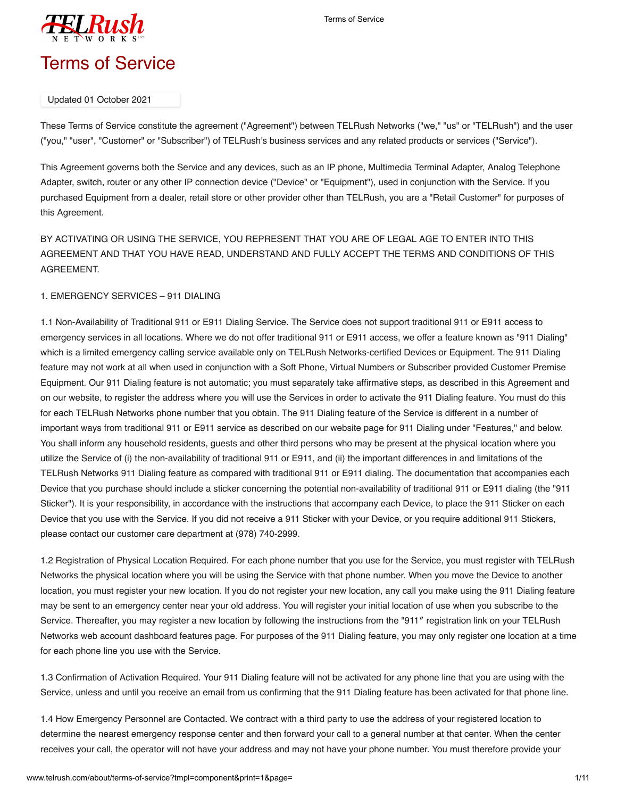

# Updated 01 October 2021

These Terms of Service constitute the agreement ("Agreement") between TELRush Networks ("we," "us" or "TELRush") and the user ("you," "user", "Customer" or "Subscriber") of TELRush's business services and any related products or services ("Service").

This Agreement governs both the Service and any devices, such as an IP phone, Multimedia Terminal Adapter, Analog Telephone Adapter, switch, router or any other IP connection device ("Device" or "Equipment"), used in conjunction with the Service. If you purchased Equipment from a dealer, retail store or other provider other than TELRush, you are a "Retail Customer" for purposes of this Agreement.

BY ACTIVATING OR USING THE SERVICE, YOU REPRESENT THAT YOU ARE OF LEGAL AGE TO ENTER INTO THIS AGREEMENT AND THAT YOU HAVE READ, UNDERSTAND AND FULLY ACCEPT THE TERMS AND CONDITIONS OF THIS AGREEMENT.

# 1. EMERGENCY SERVICES – 911 DIALING

1.1 Non-Availability of Traditional 911 or E911 Dialing Service. The Service does not support traditional 911 or E911 access to emergency services in all locations. Where we do not offer traditional 911 or E911 access, we offer a feature known as "911 Dialing" which is a limited emergency calling service available only on TELRush Networks-certified Devices or Equipment. The 911 Dialing feature may not work at all when used in conjunction with a Soft Phone, Virtual Numbers or Subscriber provided Customer Premise Equipment. Our 911 Dialing feature is not automatic; you must separately take affirmative steps, as described in this Agreement and on our website, to register the address where you will use the Services in order to activate the 911 Dialing feature. You must do this for each TELRush Networks phone number that you obtain. The 911 Dialing feature of the Service is different in a number of important ways from traditional 911 or E911 service as described on our website page for 911 Dialing under "Features," and below. You shall inform any household residents, guests and other third persons who may be present at the physical location where you utilize the Service of (i) the non-availability of traditional 911 or E911, and (ii) the important differences in and limitations of the TELRush Networks 911 Dialing feature as compared with traditional 911 or E911 dialing. The documentation that accompanies each Device that you purchase should include a sticker concerning the potential non-availability of traditional 911 or E911 dialing (the "911 Sticker"). It is your responsibility, in accordance with the instructions that accompany each Device, to place the 911 Sticker on each Device that you use with the Service. If you did not receive a 911 Sticker with your Device, or you require additional 911 Stickers, please contact our customer care department at (978) 740-2999.

1.2 Registration of Physical Location Required. For each phone number that you use for the Service, you must register with TELRush Networks the physical location where you will be using the Service with that phone number. When you move the Device to another location, you must register your new location. If you do not register your new location, any call you make using the 911 Dialing feature may be sent to an emergency center near your old address. You will register your initial location of use when you subscribe to the Service. Thereafter, you may register a new location by following the instructions from the "911″ registration link on your TELRush Networks web account dashboard features page. For purposes of the 911 Dialing feature, you may only register one location at a time for each phone line you use with the Service.

1.3 Confirmation of Activation Required. Your 911 Dialing feature will not be activated for any phone line that you are using with the Service, unless and until you receive an email from us confirming that the 911 Dialing feature has been activated for that phone line.

1.4 How Emergency Personnel are Contacted. We contract with a third party to use the address of your registered location to determine the nearest emergency response center and then forward your call to a general number at that center. When the center receives your call, the operator will not have your address and may not have your phone number. You must therefore provide your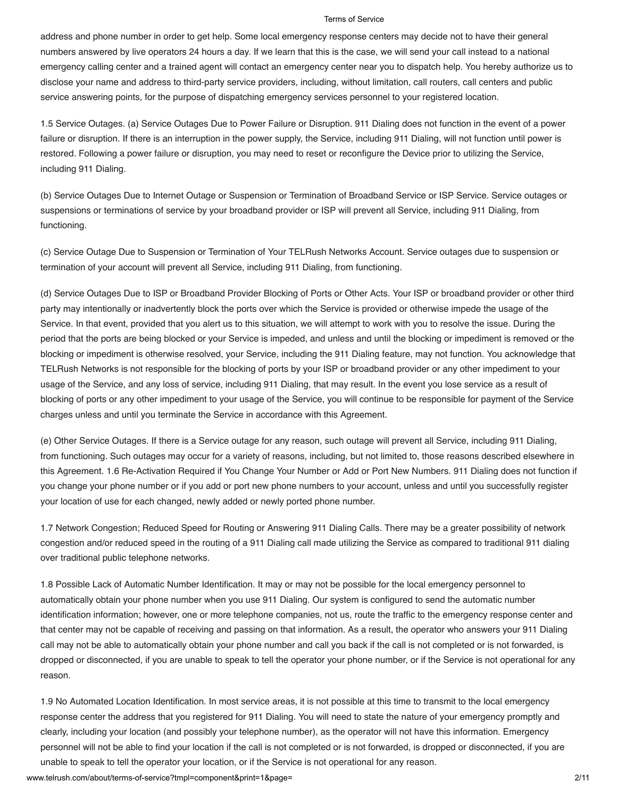address and phone number in order to get help. Some local emergency response centers may decide not to have their general numbers answered by live operators 24 hours a day. If we learn that this is the case, we will send your call instead to a national emergency calling center and a trained agent will contact an emergency center near you to dispatch help. You hereby authorize us to disclose your name and address to third-party service providers, including, without limitation, call routers, call centers and public service answering points, for the purpose of dispatching emergency services personnel to your registered location.

1.5 Service Outages. (a) Service Outages Due to Power Failure or Disruption. 911 Dialing does not function in the event of a power failure or disruption. If there is an interruption in the power supply, the Service, including 911 Dialing, will not function until power is restored. Following a power failure or disruption, you may need to reset or reconfigure the Device prior to utilizing the Service, including 911 Dialing.

(b) Service Outages Due to Internet Outage or Suspension or Termination of Broadband Service or ISP Service. Service outages or suspensions or terminations of service by your broadband provider or ISP will prevent all Service, including 911 Dialing, from functioning.

(c) Service Outage Due to Suspension or Termination of Your TELRush Networks Account. Service outages due to suspension or termination of your account will prevent all Service, including 911 Dialing, from functioning.

(d) Service Outages Due to ISP or Broadband Provider Blocking of Ports or Other Acts. Your ISP or broadband provider or other third party may intentionally or inadvertently block the ports over which the Service is provided or otherwise impede the usage of the Service. In that event, provided that you alert us to this situation, we will attempt to work with you to resolve the issue. During the period that the ports are being blocked or your Service is impeded, and unless and until the blocking or impediment is removed or the blocking or impediment is otherwise resolved, your Service, including the 911 Dialing feature, may not function. You acknowledge that TELRush Networks is not responsible for the blocking of ports by your ISP or broadband provider or any other impediment to your usage of the Service, and any loss of service, including 911 Dialing, that may result. In the event you lose service as a result of blocking of ports or any other impediment to your usage of the Service, you will continue to be responsible for payment of the Service charges unless and until you terminate the Service in accordance with this Agreement.

(e) Other Service Outages. If there is a Service outage for any reason, such outage will prevent all Service, including 911 Dialing, from functioning. Such outages may occur for a variety of reasons, including, but not limited to, those reasons described elsewhere in this Agreement. 1.6 Re-Activation Required if You Change Your Number or Add or Port New Numbers. 911 Dialing does not function if you change your phone number or if you add or port new phone numbers to your account, unless and until you successfully register your location of use for each changed, newly added or newly ported phone number.

1.7 Network Congestion; Reduced Speed for Routing or Answering 911 Dialing Calls. There may be a greater possibility of network congestion and/or reduced speed in the routing of a 911 Dialing call made utilizing the Service as compared to traditional 911 dialing over traditional public telephone networks.

1.8 Possible Lack of Automatic Number Identification. It may or may not be possible for the local emergency personnel to automatically obtain your phone number when you use 911 Dialing. Our system is configured to send the automatic number identification information; however, one or more telephone companies, not us, route the traffic to the emergency response center and that center may not be capable of receiving and passing on that information. As a result, the operator who answers your 911 Dialing call may not be able to automatically obtain your phone number and call you back if the call is not completed or is not forwarded, is dropped or disconnected, if you are unable to speak to tell the operator your phone number, or if the Service is not operational for any reason.

1.9 No Automated Location Identification. In most service areas, it is not possible at this time to transmit to the local emergency response center the address that you registered for 911 Dialing. You will need to state the nature of your emergency promptly and clearly, including your location (and possibly your telephone number), as the operator will not have this information. Emergency personnel will not be able to find your location if the call is not completed or is not forwarded, is dropped or disconnected, if you are unable to speak to tell the operator your location, or if the Service is not operational for any reason.

www.telrush.com/about/terms-of-service?tmpl=component&print=1&page= 2/11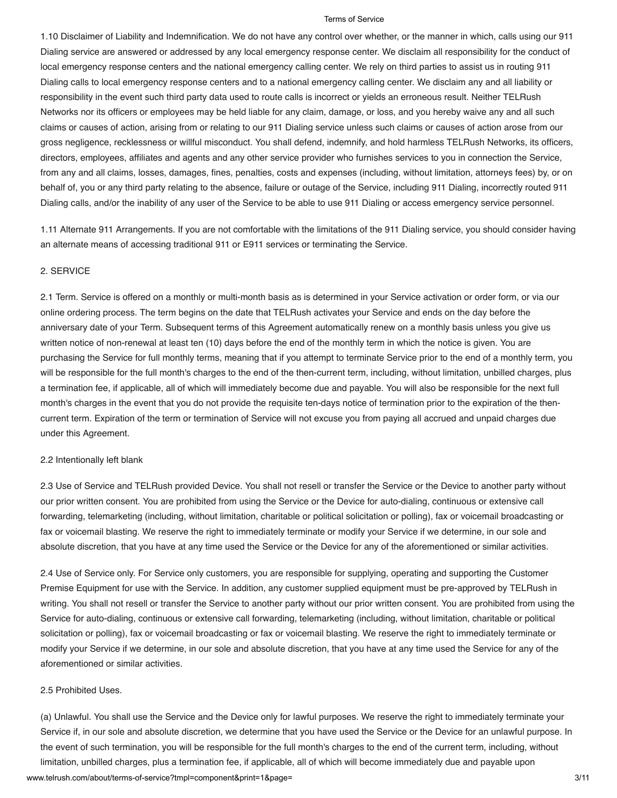1.10 Disclaimer of Liability and Indemnification. We do not have any control over whether, or the manner in which, calls using our 911 Dialing service are answered or addressed by any local emergency response center. We disclaim all responsibility for the conduct of local emergency response centers and the national emergency calling center. We rely on third parties to assist us in routing 911 Dialing calls to local emergency response centers and to a national emergency calling center. We disclaim any and all liability or responsibility in the event such third party data used to route calls is incorrect or yields an erroneous result. Neither TELRush Networks nor its officers or employees may be held liable for any claim, damage, or loss, and you hereby waive any and all such claims or causes of action, arising from or relating to our 911 Dialing service unless such claims or causes of action arose from our gross negligence, recklessness or willful misconduct. You shall defend, indemnify, and hold harmless TELRush Networks, its officers, directors, employees, affiliates and agents and any other service provider who furnishes services to you in connection the Service, from any and all claims, losses, damages, fines, penalties, costs and expenses (including, without limitation, attorneys fees) by, or on behalf of, you or any third party relating to the absence, failure or outage of the Service, including 911 Dialing, incorrectly routed 911 Dialing calls, and/or the inability of any user of the Service to be able to use 911 Dialing or access emergency service personnel.

1.11 Alternate 911 Arrangements. If you are not comfortable with the limitations of the 911 Dialing service, you should consider having an alternate means of accessing traditional 911 or E911 services or terminating the Service.

## 2. SERVICE

2.1 Term. Service is offered on a monthly or multi-month basis as is determined in your Service activation or order form, or via our online ordering process. The term begins on the date that TELRush activates your Service and ends on the day before the anniversary date of your Term. Subsequent terms of this Agreement automatically renew on a monthly basis unless you give us written notice of non-renewal at least ten (10) days before the end of the monthly term in which the notice is given. You are purchasing the Service for full monthly terms, meaning that if you attempt to terminate Service prior to the end of a monthly term, you will be responsible for the full month's charges to the end of the then-current term, including, without limitation, unbilled charges, plus a termination fee, if applicable, all of which will immediately become due and payable. You will also be responsible for the next full month's charges in the event that you do not provide the requisite ten-days notice of termination prior to the expiration of the thencurrent term. Expiration of the term or termination of Service will not excuse you from paying all accrued and unpaid charges due under this Agreement.

### 2.2 Intentionally left blank

2.3 Use of Service and TELRush provided Device. You shall not resell or transfer the Service or the Device to another party without our prior written consent. You are prohibited from using the Service or the Device for auto-dialing, continuous or extensive call forwarding, telemarketing (including, without limitation, charitable or political solicitation or polling), fax or voicemail broadcasting or fax or voicemail blasting. We reserve the right to immediately terminate or modify your Service if we determine, in our sole and absolute discretion, that you have at any time used the Service or the Device for any of the aforementioned or similar activities.

2.4 Use of Service only. For Service only customers, you are responsible for supplying, operating and supporting the Customer Premise Equipment for use with the Service. In addition, any customer supplied equipment must be pre-approved by TELRush in writing. You shall not resell or transfer the Service to another party without our prior written consent. You are prohibited from using the Service for auto-dialing, continuous or extensive call forwarding, telemarketing (including, without limitation, charitable or political solicitation or polling), fax or voicemail broadcasting or fax or voicemail blasting. We reserve the right to immediately terminate or modify your Service if we determine, in our sole and absolute discretion, that you have at any time used the Service for any of the aforementioned or similar activities.

#### 2.5 Prohibited Uses.

www.telrush.com/about/terms-of-service?tmpl=component&print=1&page= 3/11 (a) Unlawful. You shall use the Service and the Device only for lawful purposes. We reserve the right to immediately terminate your Service if, in our sole and absolute discretion, we determine that you have used the Service or the Device for an unlawful purpose. In the event of such termination, you will be responsible for the full month's charges to the end of the current term, including, without limitation, unbilled charges, plus a termination fee, if applicable, all of which will become immediately due and payable upon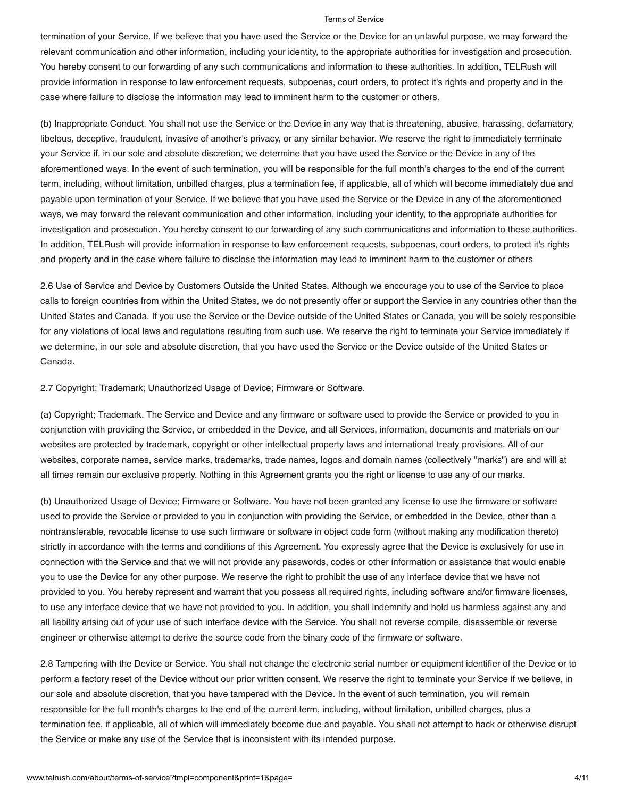termination of your Service. If we believe that you have used the Service or the Device for an unlawful purpose, we may forward the relevant communication and other information, including your identity, to the appropriate authorities for investigation and prosecution. You hereby consent to our forwarding of any such communications and information to these authorities. In addition, TELRush will provide information in response to law enforcement requests, subpoenas, court orders, to protect it's rights and property and in the case where failure to disclose the information may lead to imminent harm to the customer or others.

(b) Inappropriate Conduct. You shall not use the Service or the Device in any way that is threatening, abusive, harassing, defamatory, libelous, deceptive, fraudulent, invasive of another's privacy, or any similar behavior. We reserve the right to immediately terminate your Service if, in our sole and absolute discretion, we determine that you have used the Service or the Device in any of the aforementioned ways. In the event of such termination, you will be responsible for the full month's charges to the end of the current term, including, without limitation, unbilled charges, plus a termination fee, if applicable, all of which will become immediately due and payable upon termination of your Service. If we believe that you have used the Service or the Device in any of the aforementioned ways, we may forward the relevant communication and other information, including your identity, to the appropriate authorities for investigation and prosecution. You hereby consent to our forwarding of any such communications and information to these authorities. In addition, TELRush will provide information in response to law enforcement requests, subpoenas, court orders, to protect it's rights and property and in the case where failure to disclose the information may lead to imminent harm to the customer or others

2.6 Use of Service and Device by Customers Outside the United States. Although we encourage you to use of the Service to place calls to foreign countries from within the United States, we do not presently offer or support the Service in any countries other than the United States and Canada. If you use the Service or the Device outside of the United States or Canada, you will be solely responsible for any violations of local laws and regulations resulting from such use. We reserve the right to terminate your Service immediately if we determine, in our sole and absolute discretion, that you have used the Service or the Device outside of the United States or Canada.

2.7 Copyright; Trademark; Unauthorized Usage of Device; Firmware or Software.

(a) Copyright; Trademark. The Service and Device and any firmware or software used to provide the Service or provided to you in conjunction with providing the Service, or embedded in the Device, and all Services, information, documents and materials on our websites are protected by trademark, copyright or other intellectual property laws and international treaty provisions. All of our websites, corporate names, service marks, trademarks, trade names, logos and domain names (collectively "marks") are and will at all times remain our exclusive property. Nothing in this Agreement grants you the right or license to use any of our marks.

(b) Unauthorized Usage of Device; Firmware or Software. You have not been granted any license to use the firmware or software used to provide the Service or provided to you in conjunction with providing the Service, or embedded in the Device, other than a nontransferable, revocable license to use such firmware or software in object code form (without making any modification thereto) strictly in accordance with the terms and conditions of this Agreement. You expressly agree that the Device is exclusively for use in connection with the Service and that we will not provide any passwords, codes or other information or assistance that would enable you to use the Device for any other purpose. We reserve the right to prohibit the use of any interface device that we have not provided to you. You hereby represent and warrant that you possess all required rights, including software and/or firmware licenses, to use any interface device that we have not provided to you. In addition, you shall indemnify and hold us harmless against any and all liability arising out of your use of such interface device with the Service. You shall not reverse compile, disassemble or reverse engineer or otherwise attempt to derive the source code from the binary code of the firmware or software.

2.8 Tampering with the Device or Service. You shall not change the electronic serial number or equipment identifier of the Device or to perform a factory reset of the Device without our prior written consent. We reserve the right to terminate your Service if we believe, in our sole and absolute discretion, that you have tampered with the Device. In the event of such termination, you will remain responsible for the full month's charges to the end of the current term, including, without limitation, unbilled charges, plus a termination fee, if applicable, all of which will immediately become due and payable. You shall not attempt to hack or otherwise disrupt the Service or make any use of the Service that is inconsistent with its intended purpose.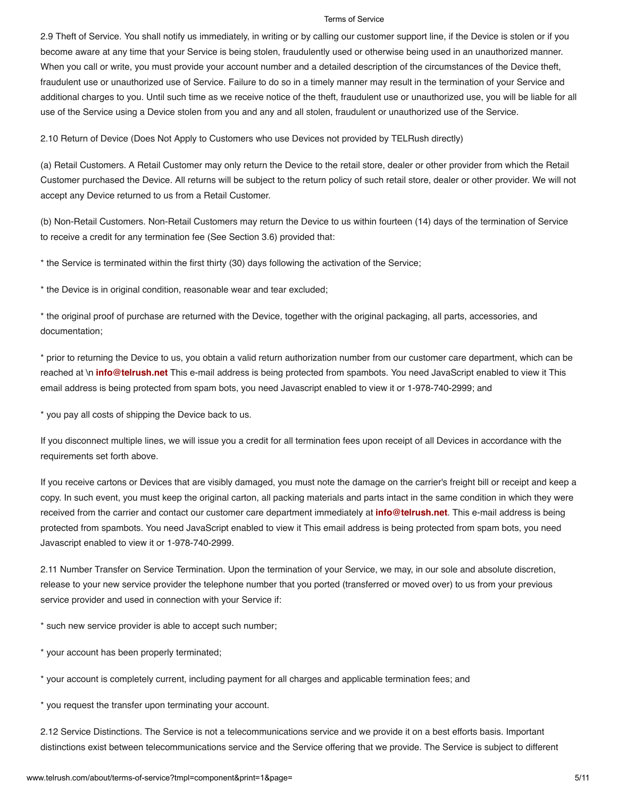2.9 Theft of Service. You shall notify us immediately, in writing or by calling our customer support line, if the Device is stolen or if you become aware at any time that your Service is being stolen, fraudulently used or otherwise being used in an unauthorized manner. When you call or write, you must provide your account number and a detailed description of the circumstances of the Device theft, fraudulent use or unauthorized use of Service. Failure to do so in a timely manner may result in the termination of your Service and additional charges to you. Until such time as we receive notice of the theft, fraudulent use or unauthorized use, you will be liable for all use of the Service using a Device stolen from you and any and all stolen, fraudulent or unauthorized use of the Service.

2.10 Return of Device (Does Not Apply to Customers who use Devices not provided by TELRush directly)

(a) Retail Customers. A Retail Customer may only return the Device to the retail store, dealer or other provider from which the Retail Customer purchased the Device. All returns will be subject to the return policy of such retail store, dealer or other provider. We will not accept any Device returned to us from a Retail Customer.

(b) Non-Retail Customers. Non-Retail Customers may return the Device to us within fourteen (14) days of the termination of Service to receive a credit for any termination fee (See Section 3.6) provided that:

\* the Service is terminated within the first thirty (30) days following the activation of the Service;

\* the Device is in original condition, reasonable wear and tear excluded;

\* the original proof of purchase are returned with the Device, together with the original packaging, all parts, accessories, and documentation;

\* prior to returning the Device to us, you obtain a valid return authorization number from our customer care department, which can be reached at \n **[info@telrush.net](mailto:info@telrush.net)** This e-mail address is being protected from spambots. You need JavaScript enabled to view it This email address is being protected from spam bots, you need Javascript enabled to view it or 1-978-740-2999; and

\* you pay all costs of shipping the Device back to us.

If you disconnect multiple lines, we will issue you a credit for all termination fees upon receipt of all Devices in accordance with the requirements set forth above.

If you receive cartons or Devices that are visibly damaged, you must note the damage on the carrier's freight bill or receipt and keep a copy. In such event, you must keep the original carton, all packing materials and parts intact in the same condition in which they were received from the carrier and contact our customer care department immediately at **[info@telrush.net](mailto:info@telrush.net)**. This e-mail address is being protected from spambots. You need JavaScript enabled to view it This email address is being protected from spam bots, you need Javascript enabled to view it or 1-978-740-2999.

2.11 Number Transfer on Service Termination. Upon the termination of your Service, we may, in our sole and absolute discretion, release to your new service provider the telephone number that you ported (transferred or moved over) to us from your previous service provider and used in connection with your Service if:

\* such new service provider is able to accept such number;

\* your account has been properly terminated;

\* your account is completely current, including payment for all charges and applicable termination fees; and

\* you request the transfer upon terminating your account.

2.12 Service Distinctions. The Service is not a telecommunications service and we provide it on a best efforts basis. Important distinctions exist between telecommunications service and the Service offering that we provide. The Service is subject to different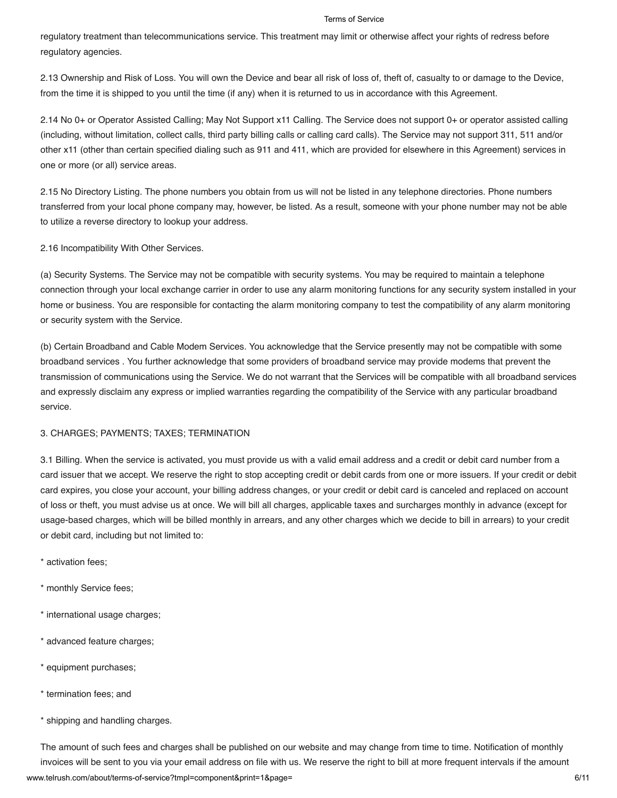regulatory treatment than telecommunications service. This treatment may limit or otherwise affect your rights of redress before regulatory agencies.

2.13 Ownership and Risk of Loss. You will own the Device and bear all risk of loss of, theft of, casualty to or damage to the Device, from the time it is shipped to you until the time (if any) when it is returned to us in accordance with this Agreement.

2.14 No 0+ or Operator Assisted Calling; May Not Support x11 Calling. The Service does not support 0+ or operator assisted calling (including, without limitation, collect calls, third party billing calls or calling card calls). The Service may not support 311, 511 and/or other x11 (other than certain specified dialing such as 911 and 411, which are provided for elsewhere in this Agreement) services in one or more (or all) service areas.

2.15 No Directory Listing. The phone numbers you obtain from us will not be listed in any telephone directories. Phone numbers transferred from your local phone company may, however, be listed. As a result, someone with your phone number may not be able to utilize a reverse directory to lookup your address.

2.16 Incompatibility With Other Services.

(a) Security Systems. The Service may not be compatible with security systems. You may be required to maintain a telephone connection through your local exchange carrier in order to use any alarm monitoring functions for any security system installed in your home or business. You are responsible for contacting the alarm monitoring company to test the compatibility of any alarm monitoring or security system with the Service.

(b) Certain Broadband and Cable Modem Services. You acknowledge that the Service presently may not be compatible with some broadband services . You further acknowledge that some providers of broadband service may provide modems that prevent the transmission of communications using the Service. We do not warrant that the Services will be compatible with all broadband services and expressly disclaim any express or implied warranties regarding the compatibility of the Service with any particular broadband service.

## 3. CHARGES; PAYMENTS; TAXES; TERMINATION

3.1 Billing. When the service is activated, you must provide us with a valid email address and a credit or debit card number from a card issuer that we accept. We reserve the right to stop accepting credit or debit cards from one or more issuers. If your credit or debit card expires, you close your account, your billing address changes, or your credit or debit card is canceled and replaced on account of loss or theft, you must advise us at once. We will bill all charges, applicable taxes and surcharges monthly in advance (except for usage-based charges, which will be billed monthly in arrears, and any other charges which we decide to bill in arrears) to your credit or debit card, including but not limited to:

- \* activation fees;
- \* monthly Service fees;
- \* international usage charges;
- \* advanced feature charges;
- \* equipment purchases;
- \* termination fees; and
- \* shipping and handling charges.

www.telrush.com/about/terms-of-service?tmpl=component&print=1&page= 6/11 The amount of such fees and charges shall be published on our website and may change from time to time. Notification of monthly invoices will be sent to you via your email address on file with us. We reserve the right to bill at more frequent intervals if the amount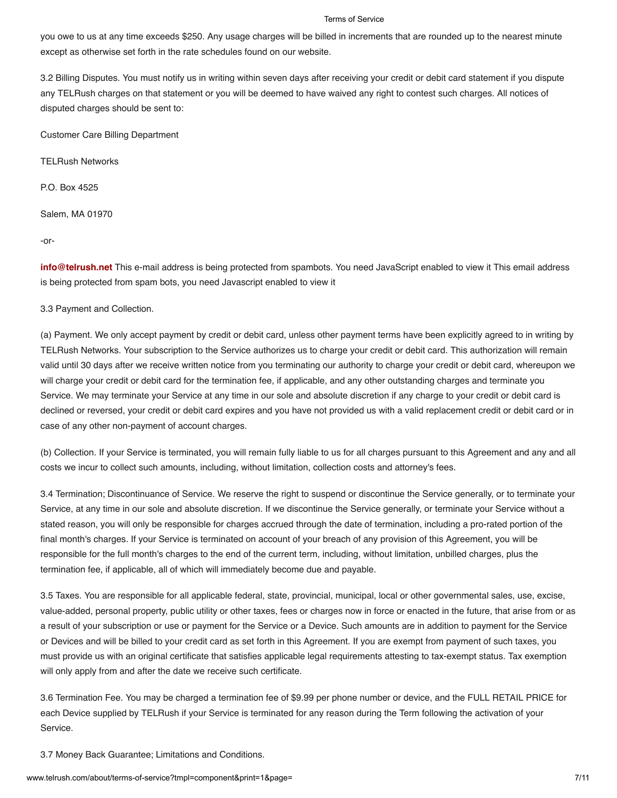you owe to us at any time exceeds \$250. Any usage charges will be billed in increments that are rounded up to the nearest minute except as otherwise set forth in the rate schedules found on our website.

3.2 Billing Disputes. You must notify us in writing within seven days after receiving your credit or debit card statement if you dispute any TELRush charges on that statement or you will be deemed to have waived any right to contest such charges. All notices of disputed charges should be sent to:

Customer Care Billing Department

TELRush Networks

P.O. Box 4525

Salem, MA 01970

-or-

**[info@telrush.net](mailto:info@telrush.net)** This e-mail address is being protected from spambots. You need JavaScript enabled to view it This email address is being protected from spam bots, you need Javascript enabled to view it

3.3 Payment and Collection.

(a) Payment. We only accept payment by credit or debit card, unless other payment terms have been explicitly agreed to in writing by TELRush Networks. Your subscription to the Service authorizes us to charge your credit or debit card. This authorization will remain valid until 30 days after we receive written notice from you terminating our authority to charge your credit or debit card, whereupon we will charge your credit or debit card for the termination fee, if applicable, and any other outstanding charges and terminate you Service. We may terminate your Service at any time in our sole and absolute discretion if any charge to your credit or debit card is declined or reversed, your credit or debit card expires and you have not provided us with a valid replacement credit or debit card or in case of any other non-payment of account charges.

(b) Collection. If your Service is terminated, you will remain fully liable to us for all charges pursuant to this Agreement and any and all costs we incur to collect such amounts, including, without limitation, collection costs and attorney's fees.

3.4 Termination; Discontinuance of Service. We reserve the right to suspend or discontinue the Service generally, or to terminate your Service, at any time in our sole and absolute discretion. If we discontinue the Service generally, or terminate your Service without a stated reason, you will only be responsible for charges accrued through the date of termination, including a pro-rated portion of the final month's charges. If your Service is terminated on account of your breach of any provision of this Agreement, you will be responsible for the full month's charges to the end of the current term, including, without limitation, unbilled charges, plus the termination fee, if applicable, all of which will immediately become due and payable.

3.5 Taxes. You are responsible for all applicable federal, state, provincial, municipal, local or other governmental sales, use, excise, value-added, personal property, public utility or other taxes, fees or charges now in force or enacted in the future, that arise from or as a result of your subscription or use or payment for the Service or a Device. Such amounts are in addition to payment for the Service or Devices and will be billed to your credit card as set forth in this Agreement. If you are exempt from payment of such taxes, you must provide us with an original certificate that satisfies applicable legal requirements attesting to tax-exempt status. Tax exemption will only apply from and after the date we receive such certificate.

3.6 Termination Fee. You may be charged a termination fee of \$9.99 per phone number or device, and the FULL RETAIL PRICE for each Device supplied by TELRush if your Service is terminated for any reason during the Term following the activation of your Service.

3.7 Money Back Guarantee; Limitations and Conditions.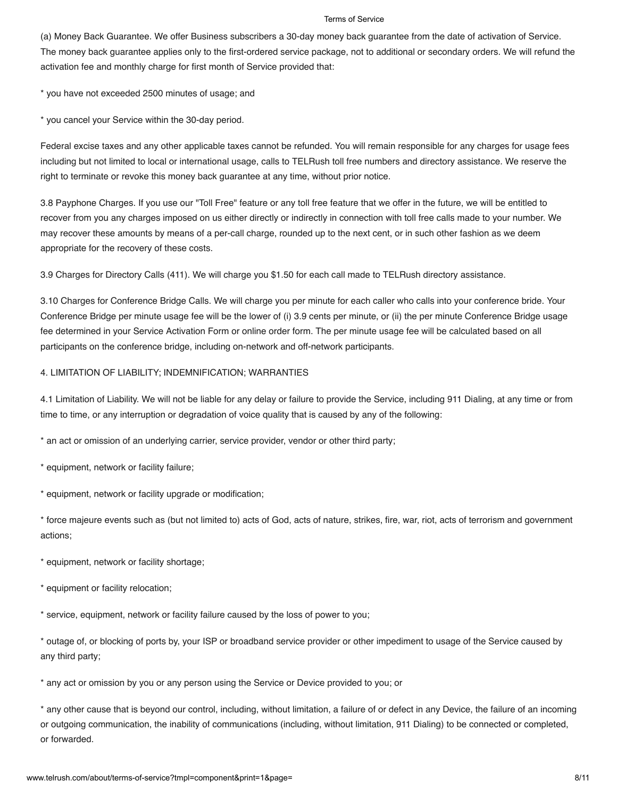(a) Money Back Guarantee. We offer Business subscribers a 30-day money back guarantee from the date of activation of Service. The money back guarantee applies only to the first-ordered service package, not to additional or secondary orders. We will refund the activation fee and monthly charge for first month of Service provided that:

\* you have not exceeded 2500 minutes of usage; and

\* you cancel your Service within the 30-day period.

Federal excise taxes and any other applicable taxes cannot be refunded. You will remain responsible for any charges for usage fees including but not limited to local or international usage, calls to TELRush toll free numbers and directory assistance. We reserve the right to terminate or revoke this money back guarantee at any time, without prior notice.

3.8 Payphone Charges. If you use our "Toll Free" feature or any toll free feature that we offer in the future, we will be entitled to recover from you any charges imposed on us either directly or indirectly in connection with toll free calls made to your number. We may recover these amounts by means of a per-call charge, rounded up to the next cent, or in such other fashion as we deem appropriate for the recovery of these costs.

3.9 Charges for Directory Calls (411). We will charge you \$1.50 for each call made to TELRush directory assistance.

3.10 Charges for Conference Bridge Calls. We will charge you per minute for each caller who calls into your conference bride. Your Conference Bridge per minute usage fee will be the lower of (i) 3.9 cents per minute, or (ii) the per minute Conference Bridge usage fee determined in your Service Activation Form or online order form. The per minute usage fee will be calculated based on all participants on the conference bridge, including on-network and off-network participants.

## 4. LIMITATION OF LIABILITY; INDEMNIFICATION; WARRANTIES

4.1 Limitation of Liability. We will not be liable for any delay or failure to provide the Service, including 911 Dialing, at any time or from time to time, or any interruption or degradation of voice quality that is caused by any of the following:

\* an act or omission of an underlying carrier, service provider, vendor or other third party;

\* equipment, network or facility failure;

\* equipment, network or facility upgrade or modification;

\* force majeure events such as (but not limited to) acts of God, acts of nature, strikes, fire, war, riot, acts of terrorism and government actions;

\* equipment, network or facility shortage;

\* equipment or facility relocation;

\* service, equipment, network or facility failure caused by the loss of power to you;

\* outage of, or blocking of ports by, your ISP or broadband service provider or other impediment to usage of the Service caused by any third party;

\* any act or omission by you or any person using the Service or Device provided to you; or

\* any other cause that is beyond our control, including, without limitation, a failure of or defect in any Device, the failure of an incoming or outgoing communication, the inability of communications (including, without limitation, 911 Dialing) to be connected or completed, or forwarded.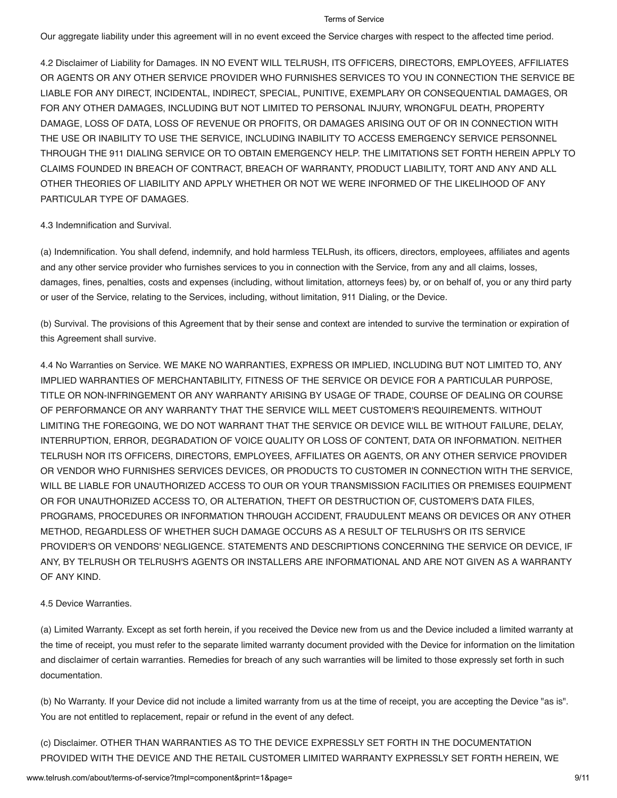Our aggregate liability under this agreement will in no event exceed the Service charges with respect to the affected time period.

4.2 Disclaimer of Liability for Damages. IN NO EVENT WILL TELRUSH, ITS OFFICERS, DIRECTORS, EMPLOYEES, AFFILIATES OR AGENTS OR ANY OTHER SERVICE PROVIDER WHO FURNISHES SERVICES TO YOU IN CONNECTION THE SERVICE BE LIABLE FOR ANY DIRECT, INCIDENTAL, INDIRECT, SPECIAL, PUNITIVE, EXEMPLARY OR CONSEQUENTIAL DAMAGES, OR FOR ANY OTHER DAMAGES, INCLUDING BUT NOT LIMITED TO PERSONAL INJURY, WRONGFUL DEATH, PROPERTY DAMAGE, LOSS OF DATA, LOSS OF REVENUE OR PROFITS, OR DAMAGES ARISING OUT OF OR IN CONNECTION WITH THE USE OR INABILITY TO USE THE SERVICE, INCLUDING INABILITY TO ACCESS EMERGENCY SERVICE PERSONNEL THROUGH THE 911 DIALING SERVICE OR TO OBTAIN EMERGENCY HELP. THE LIMITATIONS SET FORTH HEREIN APPLY TO CLAIMS FOUNDED IN BREACH OF CONTRACT, BREACH OF WARRANTY, PRODUCT LIABILITY, TORT AND ANY AND ALL OTHER THEORIES OF LIABILITY AND APPLY WHETHER OR NOT WE WERE INFORMED OF THE LIKELIHOOD OF ANY PARTICULAR TYPE OF DAMAGES.

## 4.3 Indemnification and Survival.

(a) Indemnification. You shall defend, indemnify, and hold harmless TELRush, its officers, directors, employees, affiliates and agents and any other service provider who furnishes services to you in connection with the Service, from any and all claims, losses, damages, fines, penalties, costs and expenses (including, without limitation, attorneys fees) by, or on behalf of, you or any third party or user of the Service, relating to the Services, including, without limitation, 911 Dialing, or the Device.

(b) Survival. The provisions of this Agreement that by their sense and context are intended to survive the termination or expiration of this Agreement shall survive.

4.4 No Warranties on Service. WE MAKE NO WARRANTIES, EXPRESS OR IMPLIED, INCLUDING BUT NOT LIMITED TO, ANY IMPLIED WARRANTIES OF MERCHANTABILITY, FITNESS OF THE SERVICE OR DEVICE FOR A PARTICULAR PURPOSE, TITLE OR NON-INFRINGEMENT OR ANY WARRANTY ARISING BY USAGE OF TRADE, COURSE OF DEALING OR COURSE OF PERFORMANCE OR ANY WARRANTY THAT THE SERVICE WILL MEET CUSTOMER'S REQUIREMENTS. WITHOUT LIMITING THE FOREGOING, WE DO NOT WARRANT THAT THE SERVICE OR DEVICE WILL BE WITHOUT FAILURE, DELAY, INTERRUPTION, ERROR, DEGRADATION OF VOICE QUALITY OR LOSS OF CONTENT, DATA OR INFORMATION. NEITHER TELRUSH NOR ITS OFFICERS, DIRECTORS, EMPLOYEES, AFFILIATES OR AGENTS, OR ANY OTHER SERVICE PROVIDER OR VENDOR WHO FURNISHES SERVICES DEVICES, OR PRODUCTS TO CUSTOMER IN CONNECTION WITH THE SERVICE, WILL BE LIABLE FOR UNAUTHORIZED ACCESS TO OUR OR YOUR TRANSMISSION FACILITIES OR PREMISES EQUIPMENT OR FOR UNAUTHORIZED ACCESS TO, OR ALTERATION, THEFT OR DESTRUCTION OF, CUSTOMER'S DATA FILES, PROGRAMS, PROCEDURES OR INFORMATION THROUGH ACCIDENT, FRAUDULENT MEANS OR DEVICES OR ANY OTHER METHOD, REGARDLESS OF WHETHER SUCH DAMAGE OCCURS AS A RESULT OF TELRUSH'S OR ITS SERVICE PROVIDER'S OR VENDORS' NEGLIGENCE. STATEMENTS AND DESCRIPTIONS CONCERNING THE SERVICE OR DEVICE, IF ANY, BY TELRUSH OR TELRUSH'S AGENTS OR INSTALLERS ARE INFORMATIONAL AND ARE NOT GIVEN AS A WARRANTY OF ANY KIND.

## 4.5 Device Warranties.

(a) Limited Warranty. Except as set forth herein, if you received the Device new from us and the Device included a limited warranty at the time of receipt, you must refer to the separate limited warranty document provided with the Device for information on the limitation and disclaimer of certain warranties. Remedies for breach of any such warranties will be limited to those expressly set forth in such documentation.

(b) No Warranty. If your Device did not include a limited warranty from us at the time of receipt, you are accepting the Device "as is". You are not entitled to replacement, repair or refund in the event of any defect.

(c) Disclaimer. OTHER THAN WARRANTIES AS TO THE DEVICE EXPRESSLY SET FORTH IN THE DOCUMENTATION PROVIDED WITH THE DEVICE AND THE RETAIL CUSTOMER LIMITED WARRANTY EXPRESSLY SET FORTH HEREIN, WE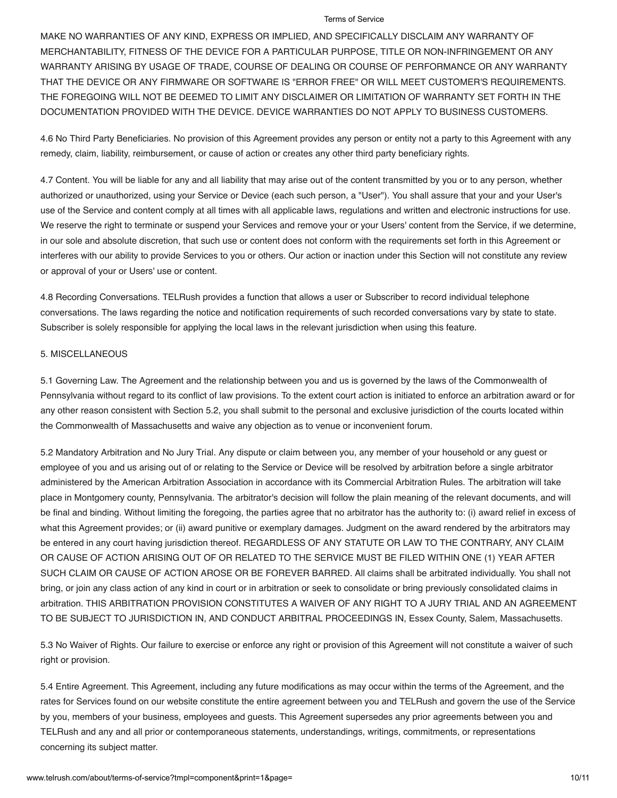MAKE NO WARRANTIES OF ANY KIND, EXPRESS OR IMPLIED, AND SPECIFICALLY DISCLAIM ANY WARRANTY OF MERCHANTABILITY, FITNESS OF THE DEVICE FOR A PARTICULAR PURPOSE, TITLE OR NON-INFRINGEMENT OR ANY WARRANTY ARISING BY USAGE OF TRADE, COURSE OF DEALING OR COURSE OF PERFORMANCE OR ANY WARRANTY THAT THE DEVICE OR ANY FIRMWARE OR SOFTWARE IS "ERROR FREE" OR WILL MEET CUSTOMER'S REQUIREMENTS. THE FOREGOING WILL NOT BE DEEMED TO LIMIT ANY DISCLAIMER OR LIMITATION OF WARRANTY SET FORTH IN THE DOCUMENTATION PROVIDED WITH THE DEVICE. DEVICE WARRANTIES DO NOT APPLY TO BUSINESS CUSTOMERS.

4.6 No Third Party Beneficiaries. No provision of this Agreement provides any person or entity not a party to this Agreement with any remedy, claim, liability, reimbursement, or cause of action or creates any other third party beneficiary rights.

4.7 Content. You will be liable for any and all liability that may arise out of the content transmitted by you or to any person, whether authorized or unauthorized, using your Service or Device (each such person, a "User"). You shall assure that your and your User's use of the Service and content comply at all times with all applicable laws, regulations and written and electronic instructions for use. We reserve the right to terminate or suspend your Services and remove your or your Users' content from the Service, if we determine, in our sole and absolute discretion, that such use or content does not conform with the requirements set forth in this Agreement or interferes with our ability to provide Services to you or others. Our action or inaction under this Section will not constitute any review or approval of your or Users' use or content.

4.8 Recording Conversations. TELRush provides a function that allows a user or Subscriber to record individual telephone conversations. The laws regarding the notice and notification requirements of such recorded conversations vary by state to state. Subscriber is solely responsible for applying the local laws in the relevant jurisdiction when using this feature.

## 5. MISCELLANEOUS

5.1 Governing Law. The Agreement and the relationship between you and us is governed by the laws of the Commonwealth of Pennsylvania without regard to its conflict of law provisions. To the extent court action is initiated to enforce an arbitration award or for any other reason consistent with Section 5.2, you shall submit to the personal and exclusive jurisdiction of the courts located within the Commonwealth of Massachusetts and waive any objection as to venue or inconvenient forum.

5.2 Mandatory Arbitration and No Jury Trial. Any dispute or claim between you, any member of your household or any guest or employee of you and us arising out of or relating to the Service or Device will be resolved by arbitration before a single arbitrator administered by the American Arbitration Association in accordance with its Commercial Arbitration Rules. The arbitration will take place in Montgomery county, Pennsylvania. The arbitrator's decision will follow the plain meaning of the relevant documents, and will be final and binding. Without limiting the foregoing, the parties agree that no arbitrator has the authority to: (i) award relief in excess of what this Agreement provides; or (ii) award punitive or exemplary damages. Judgment on the award rendered by the arbitrators may be entered in any court having jurisdiction thereof. REGARDLESS OF ANY STATUTE OR LAW TO THE CONTRARY, ANY CLAIM OR CAUSE OF ACTION ARISING OUT OF OR RELATED TO THE SERVICE MUST BE FILED WITHIN ONE (1) YEAR AFTER SUCH CLAIM OR CAUSE OF ACTION AROSE OR BE FOREVER BARRED. All claims shall be arbitrated individually. You shall not bring, or join any class action of any kind in court or in arbitration or seek to consolidate or bring previously consolidated claims in arbitration. THIS ARBITRATION PROVISION CONSTITUTES A WAIVER OF ANY RIGHT TO A JURY TRIAL AND AN AGREEMENT TO BE SUBJECT TO JURISDICTION IN, AND CONDUCT ARBITRAL PROCEEDINGS IN, Essex County, Salem, Massachusetts.

5.3 No Waiver of Rights. Our failure to exercise or enforce any right or provision of this Agreement will not constitute a waiver of such right or provision.

5.4 Entire Agreement. This Agreement, including any future modifications as may occur within the terms of the Agreement, and the rates for Services found on our website constitute the entire agreement between you and TELRush and govern the use of the Service by you, members of your business, employees and guests. This Agreement supersedes any prior agreements between you and TELRush and any and all prior or contemporaneous statements, understandings, writings, commitments, or representations concerning its subject matter.